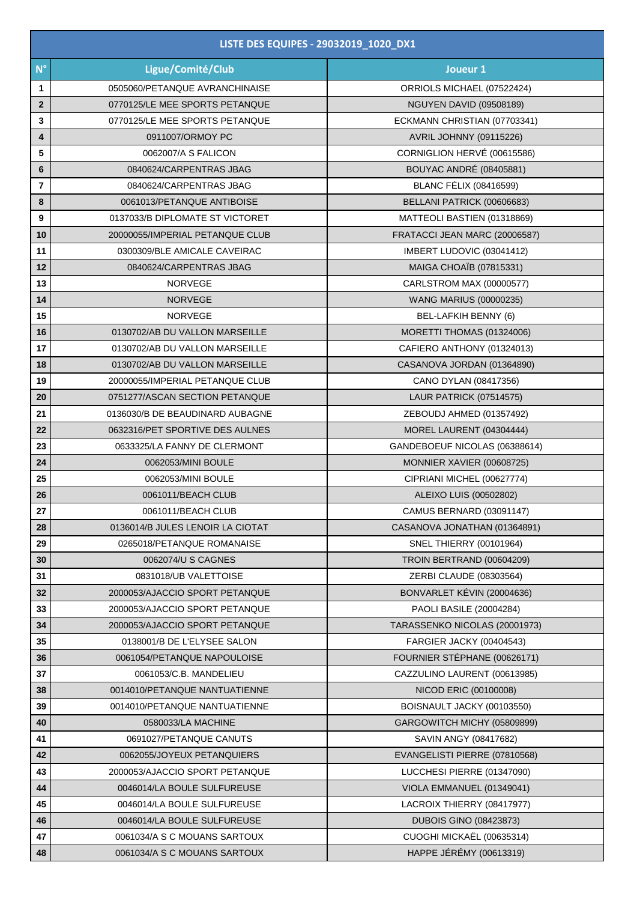| LISTE DES EQUIPES - 29032019_1020_DX1 |                                  |                                 |
|---------------------------------------|----------------------------------|---------------------------------|
| $N^{\circ}$                           | Ligue/Comité/Club                | Joueur 1                        |
| 1                                     | 0505060/PETANQUE AVRANCHINAISE   | ORRIOLS MICHAEL (07522424)      |
| $\mathbf{2}$                          | 0770125/LE MEE SPORTS PETANQUE   | <b>NGUYEN DAVID (09508189)</b>  |
| 3                                     | 0770125/LE MEE SPORTS PETANQUE   | ECKMANN CHRISTIAN (07703341)    |
| 4                                     | 0911007/ORMOY PC                 | <b>AVRIL JOHNNY (09115226)</b>  |
| 5                                     | 0062007/A S FALICON              | CORNIGLION HERVÉ (00615586)     |
| $\bf 6$                               | 0840624/CARPENTRAS JBAG          | <b>BOUYAC ANDRÉ (08405881)</b>  |
| $\overline{\mathbf{r}}$               | 0840624/CARPENTRAS JBAG          | <b>BLANC FÉLIX (08416599)</b>   |
| 8                                     | 0061013/PETANQUE ANTIBOISE       | BELLANI PATRICK (00606683)      |
| 9                                     | 0137033/B DIPLOMATE ST VICTORET  | MATTEOLI BASTIEN (01318869)     |
| 10                                    | 20000055/IMPERIAL PETANQUE CLUB  | FRATACCI JEAN MARC (20006587)   |
| 11                                    | 0300309/BLE AMICALE CAVEIRAC     | IMBERT LUDOVIC (03041412)       |
| 12                                    | 0840624/CARPENTRAS JBAG          | <b>MAIGA CHOAÏB (07815331)</b>  |
| 13                                    | <b>NORVEGE</b>                   | CARLSTROM MAX (00000577)        |
| 14                                    | <b>NORVEGE</b>                   | <b>WANG MARIUS (00000235)</b>   |
| 15                                    | <b>NORVEGE</b>                   | BEL-LAFKIH BENNY (6)            |
| 16                                    | 0130702/AB DU VALLON MARSEILLE   | MORETTI THOMAS (01324006)       |
| 17                                    | 0130702/AB DU VALLON MARSEILLE   | CAFIERO ANTHONY (01324013)      |
| 18                                    | 0130702/AB DU VALLON MARSEILLE   | CASANOVA JORDAN (01364890)      |
| 19                                    | 20000055/IMPERIAL PETANQUE CLUB  | CANO DYLAN (08417356)           |
| 20                                    | 0751277/ASCAN SECTION PETANQUE   | LAUR PATRICK (07514575)         |
| 21                                    | 0136030/B DE BEAUDINARD AUBAGNE  | ZEBOUDJ AHMED (01357492)        |
| 22                                    | 0632316/PET SPORTIVE DES AULNES  | MOREL LAURENT (04304444)        |
| 23                                    | 0633325/LA FANNY DE CLERMONT     | GANDEBOEUF NICOLAS (06388614)   |
| 24                                    | 0062053/MINI BOULE               | MONNIER XAVIER (00608725)       |
| 25                                    | 0062053/MINI BOULE               | CIPRIANI MICHEL (00627774)      |
| 26                                    | 0061011/BEACH CLUB               | ALEIXO LUIS (00502802)          |
| ${\bf 27}$                            | 0061011/BEACH CLUB               | CAMUS BERNARD (03091147)        |
| 28                                    | 0136014/B JULES LENOIR LA CIOTAT | CASANOVA JONATHAN (01364891)    |
| 29                                    | 0265018/PETANQUE ROMANAISE       | SNEL THIERRY (00101964)         |
| 30                                    | 0062074/U S CAGNES               | TROIN BERTRAND (00604209)       |
| 31                                    | 0831018/UB VALETTOISE            | ZERBI CLAUDE (08303564)         |
| 32                                    | 2000053/AJACCIO SPORT PETANQUE   | BONVARLET KÉVIN (20004636)      |
| 33                                    | 2000053/AJACCIO SPORT PETANQUE   | PAOLI BASILE (20004284)         |
| 34                                    | 2000053/AJACCIO SPORT PETANQUE   | TARASSENKO NICOLAS (20001973)   |
| 35                                    | 0138001/B DE L'ELYSEE SALON      | <b>FARGIER JACKY (00404543)</b> |
| 36                                    | 0061054/PETANQUE NAPOULOISE      | FOURNIER STÉPHANE (00626171)    |
| 37                                    | 0061053/C.B. MANDELIEU           | CAZZULINO LAURENT (00613985)    |
| 38                                    | 0014010/PETANQUE NANTUATIENNE    | NICOD ERIC (00100008)           |
| 39                                    | 0014010/PETANQUE NANTUATIENNE    | BOISNAULT JACKY (00103550)      |
| 40                                    | 0580033/LA MACHINE               | GARGOWITCH MICHY (05809899)     |
| 41                                    | 0691027/PETANQUE CANUTS          | SAVIN ANGY (08417682)           |
| 42                                    | 0062055/JOYEUX PETANQUIERS       | EVANGELISTI PIERRE (07810568)   |
| 43                                    | 2000053/AJACCIO SPORT PETANQUE   | LUCCHESI PIERRE (01347090)      |
| 44                                    | 0046014/LA BOULE SULFUREUSE      | VIOLA EMMANUEL (01349041)       |
| 45                                    | 0046014/LA BOULE SULFUREUSE      | LACROIX THIERRY (08417977)      |
| 46                                    | 0046014/LA BOULE SULFUREUSE      | <b>DUBOIS GINO (08423873)</b>   |
| 47                                    | 0061034/A S C MOUANS SARTOUX     | CUOGHI MICKAËL (00635314)       |
| 48                                    | 0061034/A S C MOUANS SARTOUX     | HAPPE JÉRÉMY (00613319)         |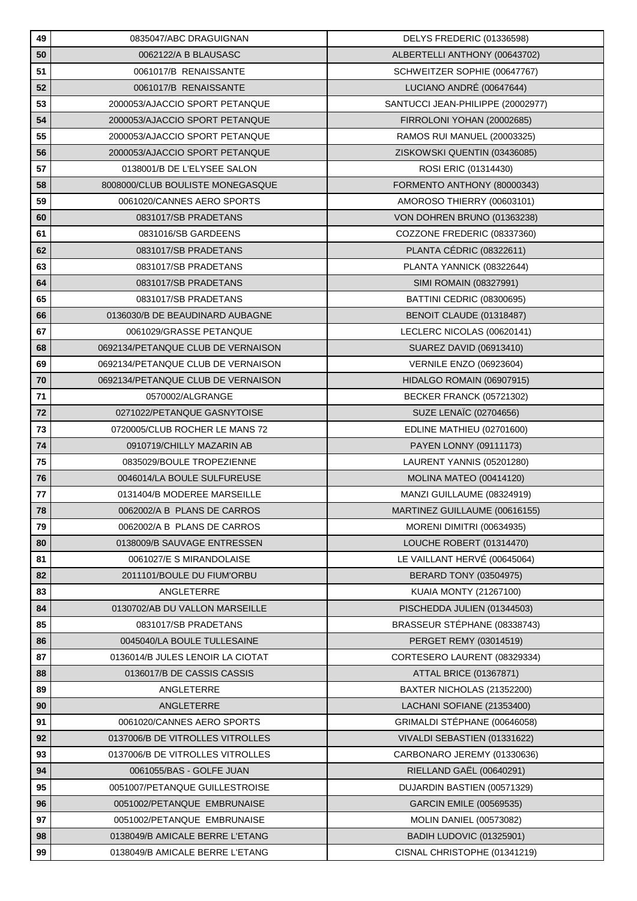| 49         | 0835047/ABC DRAGUIGNAN             | DELYS FREDERIC (01336598)         |
|------------|------------------------------------|-----------------------------------|
| 50         | 0062122/A B BLAUSASC               | ALBERTELLI ANTHONY (00643702)     |
| 51         | 0061017/B RENAISSANTE              | SCHWEITZER SOPHIE (00647767)      |
| 52         | 0061017/B RENAISSANTE              | LUCIANO ANDRÉ (00647644)          |
| 53         | 2000053/AJACCIO SPORT PETANQUE     | SANTUCCI JEAN-PHILIPPE (20002977) |
| 54         | 2000053/AJACCIO SPORT PETANQUE     | FIRROLONI YOHAN (20002685)        |
| 55         | 2000053/AJACCIO SPORT PETANQUE     | RAMOS RUI MANUEL (20003325)       |
| 56         | 2000053/AJACCIO SPORT PETANQUE     | ZISKOWSKI QUENTIN (03436085)      |
| 57         | 0138001/B DE L'ELYSEE SALON        | ROSI ERIC (01314430)              |
| 58         | 8008000/CLUB BOULISTE MONEGASQUE   | FORMENTO ANTHONY (80000343)       |
| 59         | 0061020/CANNES AERO SPORTS         | AMOROSO THIERRY (00603101)        |
| 60         | 0831017/SB PRADETANS               | VON DOHREN BRUNO (01363238)       |
| 61         | 0831016/SB GARDEENS                | COZZONE FREDERIC (08337360)       |
| 62         | 0831017/SB PRADETANS               | PLANTA CÉDRIC (08322611)          |
| 63         | 0831017/SB PRADETANS               | PLANTA YANNICK (08322644)         |
| 64         | 0831017/SB PRADETANS               | SIMI ROMAIN (08327991)            |
| 65         | 0831017/SB PRADETANS               | BATTINI CEDRIC (08300695)         |
| 66         | 0136030/B DE BEAUDINARD AUBAGNE    | BENOIT CLAUDE (01318487)          |
| 67         | 0061029/GRASSE PETANQUE            | LECLERC NICOLAS (00620141)        |
| 68         | 0692134/PETANQUE CLUB DE VERNAISON | SUAREZ DAVID (06913410)           |
| 69         | 0692134/PETANQUE CLUB DE VERNAISON | <b>VERNILE ENZO (06923604)</b>    |
| 70         | 0692134/PETANQUE CLUB DE VERNAISON | HIDALGO ROMAIN (06907915)         |
| 71         | 0570002/ALGRANGE                   | <b>BECKER FRANCK (05721302)</b>   |
| 72         | 0271022/PETANQUE GASNYTOISE        | <b>SUZE LENAÏC (02704656)</b>     |
| 73         | 0720005/CLUB ROCHER LE MANS 72     | EDLINE MATHIEU (02701600)         |
| 74         | 0910719/CHILLY MAZARIN AB          | PAYEN LONNY (09111173)            |
| 75         | 0835029/BOULE TROPEZIENNE          | LAURENT YANNIS (05201280)         |
| 76         | 0046014/LA BOULE SULFUREUSE        | <b>MOLINA MATEO (00414120)</b>    |
| 77         | 0131404/B MODEREE MARSEILLE        | MANZI GUILLAUME (08324919)        |
| ${\bf 78}$ | 0062002/A B PLANS DE CARROS        | MARTINEZ GUILLAUME (00616155)     |
| 79         | 0062002/A B PLANS DE CARROS        | <b>MORENI DIMITRI (00634935)</b>  |
| 80         | 0138009/B SAUVAGE ENTRESSEN        | LOUCHE ROBERT (01314470)          |
| 81         | 0061027/E S MIRANDOLAISE           | LE VAILLANT HERVÉ (00645064)      |
| 82         | 2011101/BOULE DU FIUM'ORBU         | <b>BERARD TONY (03504975)</b>     |
| 83         | ANGLETERRE                         | <b>KUAIA MONTY (21267100)</b>     |
| 84         | 0130702/AB DU VALLON MARSEILLE     | PISCHEDDA JULIEN (01344503)       |
| 85         | 0831017/SB PRADETANS               | BRASSEUR STÉPHANE (08338743)      |
| 86         | 0045040/LA BOULE TULLESAINE        | PERGET REMY (03014519)            |
| 87         | 0136014/B JULES LENOIR LA CIOTAT   | CORTESERO LAURENT (08329334)      |
| 88         | 0136017/B DE CASSIS CASSIS         | ATTAL BRICE (01367871)            |
| 89         | ANGLETERRE                         | BAXTER NICHOLAS (21352200)        |
| 90         | ANGLETERRE                         | LACHANI SOFIANE (21353400)        |
| 91         | 0061020/CANNES AERO SPORTS         | GRIMALDI STÉPHANE (00646058)      |
| 92         | 0137006/B DE VITROLLES VITROLLES   | VIVALDI SEBASTIEN (01331622)      |
| 93         | 0137006/B DE VITROLLES VITROLLES   | CARBONARO JEREMY (01330636)       |
| 94         | 0061055/BAS - GOLFE JUAN           | RIELLAND GAËL (00640291)          |
| 95         | 0051007/PETANQUE GUILLESTROISE     | DUJARDIN BASTIEN (00571329)       |
| 96         | 0051002/PETANQUE EMBRUNAISE        | GARCIN EMILE (00569535)           |
| 97         | 0051002/PETANQUE EMBRUNAISE        | <b>MOLIN DANIEL (00573082)</b>    |
| 98         | 0138049/B AMICALE BERRE L'ETANG    | BADIH LUDOVIC (01325901)          |
| 99         | 0138049/B AMICALE BERRE L'ETANG    | CISNAL CHRISTOPHE (01341219)      |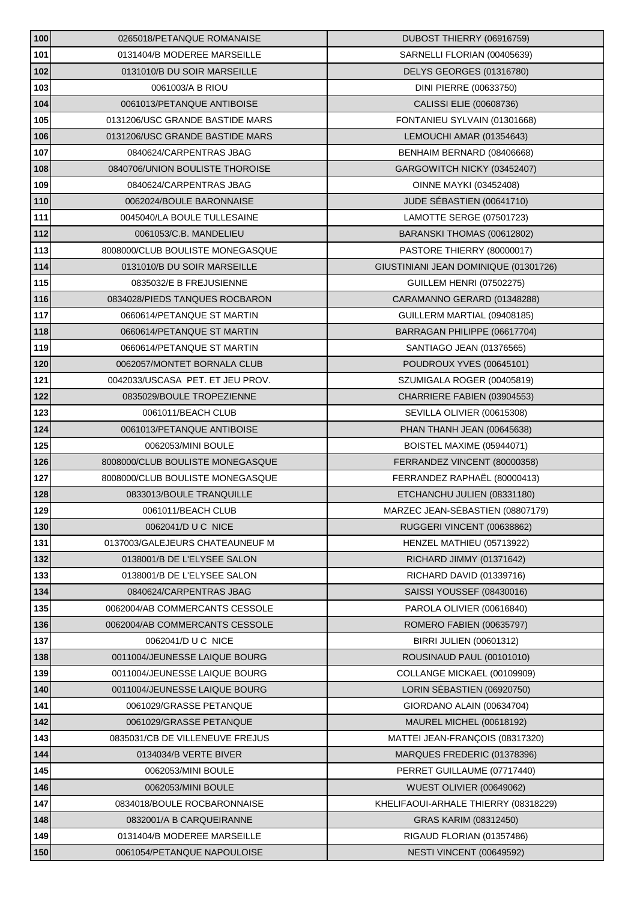| 100 | 0265018/PETANQUE ROMANAISE       | DUBOST THIERRY (06916759)             |
|-----|----------------------------------|---------------------------------------|
| 101 | 0131404/B MODEREE MARSEILLE      | SARNELLI FLORIAN (00405639)           |
| 102 | 0131010/B DU SOIR MARSEILLE      | DELYS GEORGES (01316780)              |
| 103 | 0061003/A B RIOU                 | DINI PIERRE (00633750)                |
| 104 | 0061013/PETANQUE ANTIBOISE       | CALISSI ELIE (00608736)               |
| 105 | 0131206/USC GRANDE BASTIDE MARS  | FONTANIEU SYLVAIN (01301668)          |
| 106 | 0131206/USC GRANDE BASTIDE MARS  | LEMOUCHI AMAR (01354643)              |
| 107 | 0840624/CARPENTRAS JBAG          | BENHAIM BERNARD (08406668)            |
| 108 | 0840706/UNION BOULISTE THOROISE  | GARGOWITCH NICKY (03452407)           |
| 109 | 0840624/CARPENTRAS JBAG          | <b>OINNE MAYKI (03452408)</b>         |
| 110 | 0062024/BOULE BARONNAISE         | JUDE SÉBASTIEN (00641710)             |
| 111 | 0045040/LA BOULE TULLESAINE      | LAMOTTE SERGE (07501723)              |
| 112 | 0061053/C.B. MANDELIEU           | BARANSKI THOMAS (00612802)            |
| 113 | 8008000/CLUB BOULISTE MONEGASQUE | PASTORE THIERRY (80000017)            |
| 114 | 0131010/B DU SOIR MARSEILLE      | GIUSTINIANI JEAN DOMINIQUE (01301726) |
| 115 | 0835032/E B FREJUSIENNE          | <b>GUILLEM HENRI (07502275)</b>       |
| 116 | 0834028/PIEDS TANQUES ROCBARON   | CARAMANNO GERARD (01348288)           |
| 117 | 0660614/PETANQUE ST MARTIN       | GUILLERM MARTIAL (09408185)           |
| 118 | 0660614/PETANQUE ST MARTIN       | BARRAGAN PHILIPPE (06617704)          |
| 119 | 0660614/PETANQUE ST MARTIN       | SANTIAGO JEAN (01376565)              |
| 120 | 0062057/MONTET BORNALA CLUB      | POUDROUX YVES (00645101)              |
| 121 | 0042033/USCASA PET. ET JEU PROV. | SZUMIGALA ROGER (00405819)            |
| 122 | 0835029/BOULE TROPEZIENNE        | CHARRIERE FABIEN (03904553)           |
| 123 | 0061011/BEACH CLUB               | SEVILLA OLIVIER (00615308)            |
| 124 | 0061013/PETANQUE ANTIBOISE       | PHAN THANH JEAN (00645638)            |
| 125 | 0062053/MINI BOULE               | BOISTEL MAXIME (05944071)             |
| 126 | 8008000/CLUB BOULISTE MONEGASQUE | FERRANDEZ VINCENT (80000358)          |
| 127 | 8008000/CLUB BOULISTE MONEGASQUE | FERRANDEZ RAPHAËL (80000413)          |
| 128 | 0833013/BOULE TRANQUILLE         | ETCHANCHU JULIEN (08331180)           |
| 129 | 0061011/BEACH CLUB               | MARZEC JEAN-SÉBASTIEN (08807179)      |
| 130 | 0062041/D U C NICE               | RUGGERI VINCENT (00638862)            |
| 131 | 0137003/GALEJEURS CHATEAUNEUF M  | HENZEL MATHIEU (05713922)             |
| 132 | 0138001/B DE L'ELYSEE SALON      | RICHARD JIMMY (01371642)              |
| 133 | 0138001/B DE L'ELYSEE SALON      | RICHARD DAVID (01339716)              |
| 134 | 0840624/CARPENTRAS JBAG          | SAISSI YOUSSEF (08430016)             |
| 135 | 0062004/AB COMMERCANTS CESSOLE   | PAROLA OLIVIER (00616840)             |
| 136 | 0062004/AB COMMERCANTS CESSOLE   | ROMERO FABIEN (00635797)              |
| 137 | 0062041/D U C NICE               | BIRRI JULIEN (00601312)               |
| 138 | 0011004/JEUNESSE LAIQUE BOURG    | ROUSINAUD PAUL (00101010)             |
| 139 | 0011004/JEUNESSE LAIQUE BOURG    | COLLANGE MICKAEL (00109909)           |
| 140 | 0011004/JEUNESSE LAIQUE BOURG    | LORIN SÉBASTIEN (06920750)            |
| 141 | 0061029/GRASSE PETANQUE          | GIORDANO ALAIN (00634704)             |
| 142 | 0061029/GRASSE PETANQUE          | MAUREL MICHEL (00618192)              |
| 143 | 0835031/CB DE VILLENEUVE FREJUS  | MATTEI JEAN-FRANÇOIS (08317320)       |
| 144 | 0134034/B VERTE BIVER            | MARQUES FREDERIC (01378396)           |
| 145 | 0062053/MINI BOULE               | PERRET GUILLAUME (07717440)           |
| 146 | 0062053/MINI BOULE               | WUEST OLIVIER (00649062)              |
| 147 | 0834018/BOULE ROCBARONNAISE      | KHELIFAOUI-ARHALE THIERRY (08318229)  |
| 148 | 0832001/A B CARQUEIRANNE         | GRAS KARIM (08312450)                 |
| 149 | 0131404/B MODEREE MARSEILLE      | RIGAUD FLORIAN (01357486)             |
| 150 | 0061054/PETANQUE NAPOULOISE      | NESTI VINCENT (00649592)              |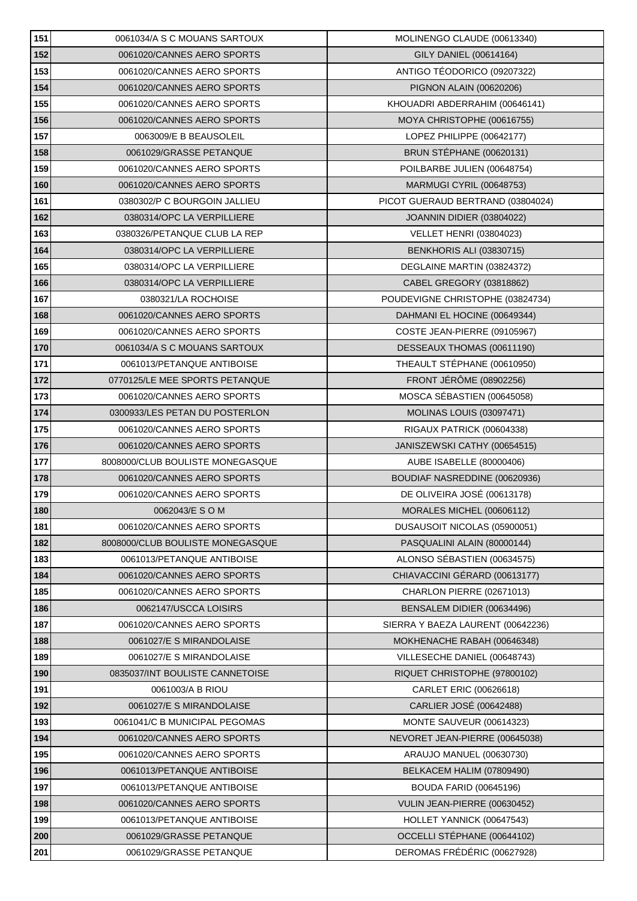| 151 | 0061034/A S C MOUANS SARTOUX     | MOLINENGO CLAUDE (00613340)       |
|-----|----------------------------------|-----------------------------------|
| 152 | 0061020/CANNES AERO SPORTS       | GILY DANIEL (00614164)            |
| 153 | 0061020/CANNES AERO SPORTS       | ANTIGO TÉODORICO (09207322)       |
| 154 | 0061020/CANNES AERO SPORTS       | PIGNON ALAIN (00620206)           |
| 155 | 0061020/CANNES AERO SPORTS       | KHOUADRI ABDERRAHIM (00646141)    |
| 156 | 0061020/CANNES AERO SPORTS       | MOYA CHRISTOPHE (00616755)        |
| 157 | 0063009/E B BEAUSOLEIL           | LOPEZ PHILIPPE (00642177)         |
| 158 | 0061029/GRASSE PETANQUE          | BRUN STÉPHANE (00620131)          |
| 159 | 0061020/CANNES AERO SPORTS       | POILBARBE JULIEN (00648754)       |
| 160 | 0061020/CANNES AERO SPORTS       | MARMUGI CYRIL (00648753)          |
| 161 | 0380302/P C BOURGOIN JALLIEU     | PICOT GUERAUD BERTRAND (03804024) |
| 162 | 0380314/OPC LA VERPILLIERE       | JOANNIN DIDIER (03804022)         |
| 163 | 0380326/PETANQUE CLUB LA REP     | <b>VELLET HENRI (03804023)</b>    |
| 164 | 0380314/OPC LA VERPILLIERE       | <b>BENKHORIS ALI (03830715)</b>   |
| 165 | 0380314/OPC LA VERPILLIERE       | DEGLAINE MARTIN (03824372)        |
| 166 | 0380314/OPC LA VERPILLIERE       | CABEL GREGORY (03818862)          |
| 167 | 0380321/LA ROCHOISE              | POUDEVIGNE CHRISTOPHE (03824734)  |
| 168 | 0061020/CANNES AERO SPORTS       | DAHMANI EL HOCINE (00649344)      |
| 169 | 0061020/CANNES AERO SPORTS       | COSTE JEAN-PIERRE (09105967)      |
| 170 | 0061034/A S C MOUANS SARTOUX     | DESSEAUX THOMAS (00611190)        |
| 171 | 0061013/PETANQUE ANTIBOISE       | THEAULT STÉPHANE (00610950)       |
| 172 | 0770125/LE MEE SPORTS PETANQUE   | FRONT JÉRÔME (08902256)           |
| 173 | 0061020/CANNES AERO SPORTS       | MOSCA SÉBASTIEN (00645058)        |
| 174 | 0300933/LES PETAN DU POSTERLON   | <b>MOLINAS LOUIS (03097471)</b>   |
| 175 | 0061020/CANNES AERO SPORTS       | RIGAUX PATRICK (00604338)         |
| 176 | 0061020/CANNES AERO SPORTS       | JANISZEWSKI CATHY (00654515)      |
| 177 | 8008000/CLUB BOULISTE MONEGASQUE | AUBE ISABELLE (80000406)          |
| 178 | 0061020/CANNES AERO SPORTS       | BOUDIAF NASREDDINE (00620936)     |
| 179 | 0061020/CANNES AERO SPORTS       | DE OLIVEIRA JOSÉ (00613178)       |
| 180 | 0062043/E S O M                  | MORALES MICHEL (00606112)         |
| 181 | 0061020/CANNES AERO SPORTS       | DUSAUSOIT NICOLAS (05900051)      |
| 182 | 8008000/CLUB BOULISTE MONEGASQUE | PASQUALINI ALAIN (80000144)       |
| 183 | 0061013/PETANQUE ANTIBOISE       | ALONSO SÉBASTIEN (00634575)       |
| 184 | 0061020/CANNES AERO SPORTS       | CHIAVACCINI GÉRARD (00613177)     |
| 185 | 0061020/CANNES AERO SPORTS       | CHARLON PIERRE (02671013)         |
| 186 | 0062147/USCCA LOISIRS            | BENSALEM DIDIER (00634496)        |
| 187 | 0061020/CANNES AERO SPORTS       | SIERRA Y BAEZA LAURENT (00642236) |
| 188 | 0061027/E S MIRANDOLAISE         | MOKHENACHE RABAH (00646348)       |
| 189 | 0061027/E S MIRANDOLAISE         | VILLESECHE DANIEL (00648743)      |
| 190 | 0835037/INT BOULISTE CANNETOISE  | RIQUET CHRISTOPHE (97800102)      |
| 191 | 0061003/A B RIOU                 | CARLET ERIC (00626618)            |
| 192 | 0061027/E S MIRANDOLAISE         | CARLIER JOSÉ (00642488)           |
| 193 | 0061041/C B MUNICIPAL PEGOMAS    | MONTE SAUVEUR (00614323)          |
| 194 | 0061020/CANNES AERO SPORTS       | NEVORET JEAN-PIERRE (00645038)    |
| 195 | 0061020/CANNES AERO SPORTS       | ARAUJO MANUEL (00630730)          |
| 196 | 0061013/PETANQUE ANTIBOISE       | BELKACEM HALIM (07809490)         |
| 197 | 0061013/PETANQUE ANTIBOISE       | <b>BOUDA FARID (00645196)</b>     |
| 198 | 0061020/CANNES AERO SPORTS       | VULIN JEAN-PIERRE (00630452)      |
| 199 | 0061013/PETANQUE ANTIBOISE       | HOLLET YANNICK (00647543)         |
| 200 | 0061029/GRASSE PETANQUE          | OCCELLI STÉPHANE (00644102)       |
| 201 | 0061029/GRASSE PETANQUE          | DEROMAS FRÉDÉRIC (00627928)       |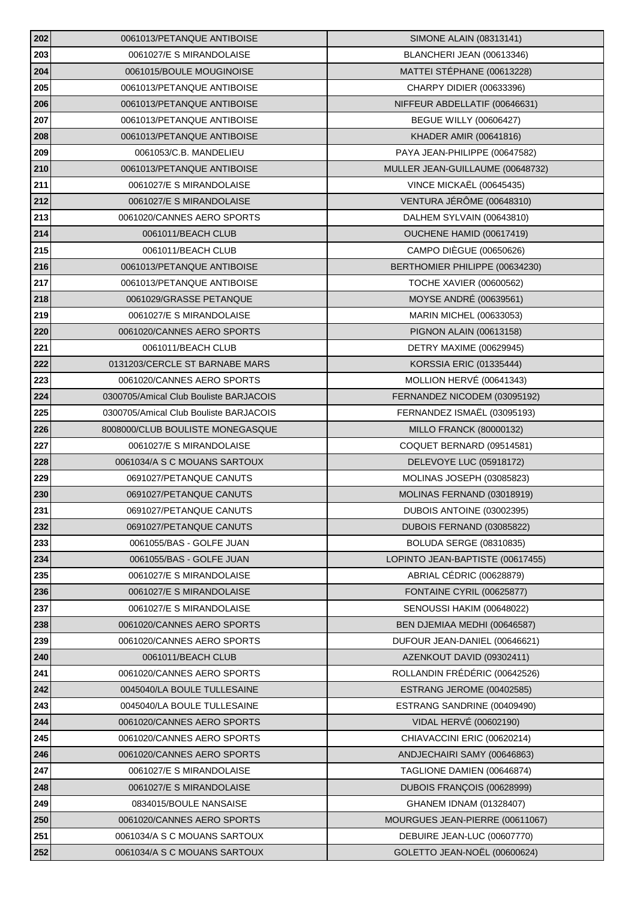| 202 | 0061013/PETANQUE ANTIBOISE             | <b>SIMONE ALAIN (08313141)</b>   |
|-----|----------------------------------------|----------------------------------|
| 203 | 0061027/E S MIRANDOLAISE               | BLANCHERI JEAN (00613346)        |
| 204 | 0061015/BOULE MOUGINOISE               | MATTEI STÉPHANE (00613228)       |
| 205 | 0061013/PETANQUE ANTIBOISE             | CHARPY DIDIER (00633396)         |
| 206 | 0061013/PETANQUE ANTIBOISE             | NIFFEUR ABDELLATIF (00646631)    |
| 207 | 0061013/PETANQUE ANTIBOISE             | <b>BEGUE WILLY (00606427)</b>    |
| 208 | 0061013/PETANQUE ANTIBOISE             | KHADER AMIR (00641816)           |
| 209 | 0061053/C.B. MANDELIEU                 | PAYA JEAN-PHILIPPE (00647582)    |
| 210 | 0061013/PETANQUE ANTIBOISE             | MULLER JEAN-GUILLAUME (00648732) |
| 211 | 0061027/E S MIRANDOLAISE               | VINCE MICKAËL (00645435)         |
| 212 | 0061027/E S MIRANDOLAISE               | VENTURA JÉRÔME (00648310)        |
| 213 | 0061020/CANNES AERO SPORTS             | DALHEM SYLVAIN (00643810)        |
| 214 | 0061011/BEACH CLUB                     | OUCHENE HAMID (00617419)         |
| 215 | 0061011/BEACH CLUB                     | <b>CAMPO DIÈGUE (00650626)</b>   |
| 216 | 0061013/PETANQUE ANTIBOISE             | BERTHOMIER PHILIPPE (00634230)   |
| 217 | 0061013/PETANQUE ANTIBOISE             | <b>TOCHE XAVIER (00600562)</b>   |
| 218 | 0061029/GRASSE PETANQUE                | MOYSE ANDRÉ (00639561)           |
| 219 | 0061027/E S MIRANDOLAISE               | MARIN MICHEL (00633053)          |
| 220 | 0061020/CANNES AERO SPORTS             | PIGNON ALAIN (00613158)          |
| 221 | 0061011/BEACH CLUB                     | DETRY MAXIME (00629945)          |
| 222 | 0131203/CERCLE ST BARNABE MARS         | <b>KORSSIA ERIC (01335444)</b>   |
| 223 | 0061020/CANNES AERO SPORTS             | MOLLION HERVÉ (00641343)         |
| 224 | 0300705/Amical Club Bouliste BARJACOIS | FERNANDEZ NICODEM (03095192)     |
| 225 | 0300705/Amical Club Bouliste BARJACOIS | FERNANDEZ ISMAËL (03095193)      |
| 226 | 8008000/CLUB BOULISTE MONEGASQUE       | <b>MILLO FRANCK (80000132)</b>   |
| 227 | 0061027/E S MIRANDOLAISE               | COQUET BERNARD (09514581)        |
| 228 | 0061034/A S C MOUANS SARTOUX           | DELEVOYE LUC (05918172)          |
| 229 | 0691027/PETANQUE CANUTS                | MOLINAS JOSEPH (03085823)        |
| 230 | 0691027/PETANQUE CANUTS                | MOLINAS FERNAND (03018919)       |
| 231 | 0691027/PETANQUE CANUTS                | DUBOIS ANTOINE (03002395)        |
| 232 | 0691027/PETANQUE CANUTS                | DUBOIS FERNAND (03085822)        |
| 233 | 0061055/BAS - GOLFE JUAN               | <b>BOLUDA SERGE (08310835)</b>   |
| 234 | 0061055/BAS - GOLFE JUAN               | LOPINTO JEAN-BAPTISTE (00617455) |
| 235 | 0061027/E S MIRANDOLAISE               | ABRIAL CÉDRIC (00628879)         |
| 236 | 0061027/E S MIRANDOLAISE               | FONTAINE CYRIL (00625877)        |
| 237 | 0061027/E S MIRANDOLAISE               | SENOUSSI HAKIM (00648022)        |
| 238 | 0061020/CANNES AERO SPORTS             | BEN DJEMIAA MEDHI (00646587)     |
| 239 | 0061020/CANNES AERO SPORTS             | DUFOUR JEAN-DANIEL (00646621)    |
| 240 | 0061011/BEACH CLUB                     | AZENKOUT DAVID (09302411)        |
| 241 | 0061020/CANNES AERO SPORTS             | ROLLANDIN FRÉDÉRIC (00642526)    |
| 242 | 0045040/LA BOULE TULLESAINE            | ESTRANG JEROME (00402585)        |
| 243 | 0045040/LA BOULE TULLESAINE            | ESTRANG SANDRINE (00409490)      |
| 244 | 0061020/CANNES AERO SPORTS             | VIDAL HERVÉ (00602190)           |
| 245 | 0061020/CANNES AERO SPORTS             | CHIAVACCINI ERIC (00620214)      |
| 246 | 0061020/CANNES AERO SPORTS             | ANDJECHAIRI SAMY (00646863)      |
| 247 | 0061027/E S MIRANDOLAISE               | TAGLIONE DAMIEN (00646874)       |
| 248 | 0061027/E S MIRANDOLAISE               | DUBOIS FRANÇOIS (00628999)       |
| 249 | 0834015/BOULE NANSAISE                 | GHANEM IDNAM (01328407)          |
| 250 | 0061020/CANNES AERO SPORTS             | MOURGUES JEAN-PIERRE (00611067)  |
| 251 | 0061034/A S C MOUANS SARTOUX           | DEBUIRE JEAN-LUC (00607770)      |
| 252 | 0061034/A S C MOUANS SARTOUX           | GOLETTO JEAN-NOËL (00600624)     |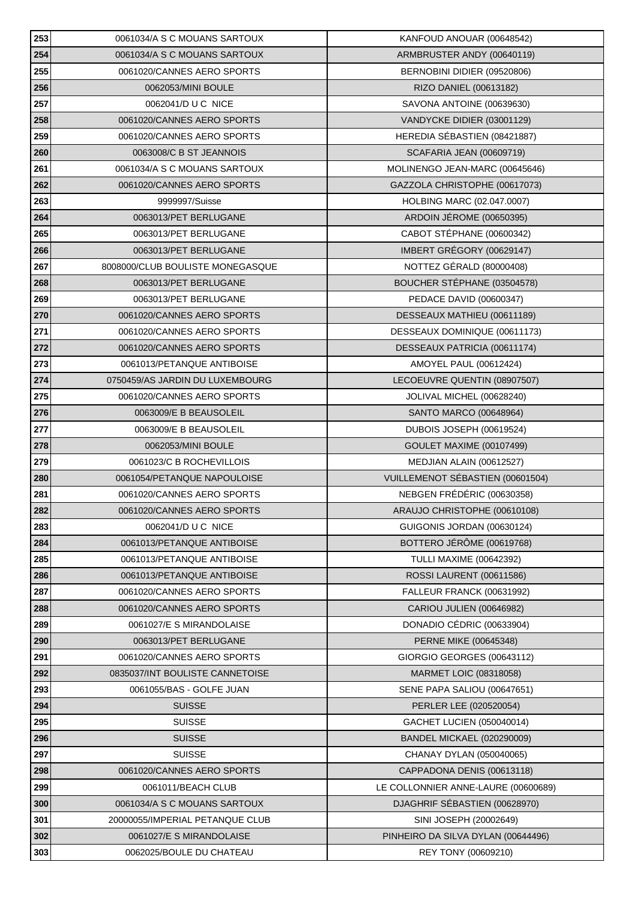| 253 | 0061034/A S C MOUANS SARTOUX     | KANFOUD ANOUAR (00648542)           |
|-----|----------------------------------|-------------------------------------|
| 254 | 0061034/A S C MOUANS SARTOUX     | ARMBRUSTER ANDY (00640119)          |
| 255 | 0061020/CANNES AERO SPORTS       | BERNOBINI DIDIER (09520806)         |
| 256 | 0062053/MINI BOULE               | RIZO DANIEL (00613182)              |
| 257 | 0062041/D U C NICE               | SAVONA ANTOINE (00639630)           |
| 258 | 0061020/CANNES AERO SPORTS       | VANDYCKE DIDIER (03001129)          |
| 259 | 0061020/CANNES AERO SPORTS       | HEREDIA SÉBASTIEN (08421887)        |
| 260 | 0063008/C B ST JEANNOIS          | <b>SCAFARIA JEAN (00609719)</b>     |
| 261 | 0061034/A S C MOUANS SARTOUX     | MOLINENGO JEAN-MARC (00645646)      |
| 262 | 0061020/CANNES AERO SPORTS       | GAZZOLA CHRISTOPHE (00617073)       |
| 263 | 9999997/Suisse                   | HOLBING MARC (02.047.0007)          |
| 264 | 0063013/PET BERLUGANE            | ARDOIN JÉROME (00650395)            |
| 265 | 0063013/PET BERLUGANE            | CABOT STÉPHANE (00600342)           |
| 266 | 0063013/PET BERLUGANE            | IMBERT GRÉGORY (00629147)           |
| 267 | 8008000/CLUB BOULISTE MONEGASQUE | NOTTEZ GÉRALD (80000408)            |
| 268 | 0063013/PET BERLUGANE            | BOUCHER STÉPHANE (03504578)         |
| 269 | 0063013/PET BERLUGANE            | PEDACE DAVID (00600347)             |
| 270 | 0061020/CANNES AERO SPORTS       | DESSEAUX MATHIEU (00611189)         |
| 271 | 0061020/CANNES AERO SPORTS       | DESSEAUX DOMINIQUE (00611173)       |
| 272 | 0061020/CANNES AERO SPORTS       | DESSEAUX PATRICIA (00611174)        |
| 273 | 0061013/PETANQUE ANTIBOISE       | AMOYEL PAUL (00612424)              |
| 274 | 0750459/AS JARDIN DU LUXEMBOURG  | LECOEUVRE QUENTIN (08907507)        |
| 275 | 0061020/CANNES AERO SPORTS       | JOLIVAL MICHEL (00628240)           |
| 276 | 0063009/E B BEAUSOLEIL           | SANTO MARCO (00648964)              |
| 277 | 0063009/E B BEAUSOLEIL           | DUBOIS JOSEPH (00619524)            |
| 278 | 0062053/MINI BOULE               | <b>GOULET MAXIME (00107499)</b>     |
| 279 | 0061023/C B ROCHEVILLOIS         | MEDJIAN ALAIN (00612527)            |
| 280 | 0061054/PETANQUE NAPOULOISE      | VUILLEMENOT SÉBASTIEN (00601504)    |
| 281 | 0061020/CANNES AERO SPORTS       | NEBGEN FRÉDÉRIC (00630358)          |
| 282 | 0061020/CANNES AERO SPORTS       | ARAUJO CHRISTOPHE (00610108)        |
| 283 | 0062041/D U C NICE               | GUIGONIS JORDAN (00630124)          |
| 284 | 0061013/PETANQUE ANTIBOISE       | BOTTERO JÉRÔME (00619768)           |
| 285 | 0061013/PETANQUE ANTIBOISE       | <b>TULLI MAXIME (00642392)</b>      |
| 286 | 0061013/PETANQUE ANTIBOISE       | ROSSI LAURENT (00611586)            |
| 287 | 0061020/CANNES AERO SPORTS       | FALLEUR FRANCK (00631992)           |
| 288 | 0061020/CANNES AERO SPORTS       | CARIOU JULIEN (00646982)            |
| 289 | 0061027/E S MIRANDOLAISE         | DONADIO CÉDRIC (00633904)           |
| 290 | 0063013/PET BERLUGANE            | PERNE MIKE (00645348)               |
| 291 | 0061020/CANNES AERO SPORTS       | GIORGIO GEORGES (00643112)          |
| 292 | 0835037/INT BOULISTE CANNETOISE  | MARMET LOIC (08318058)              |
| 293 | 0061055/BAS - GOLFE JUAN         | SENE PAPA SALIOU (00647651)         |
| 294 | <b>SUISSE</b>                    | PERLER LEE (020520054)              |
| 295 | <b>SUISSE</b>                    | GACHET LUCIEN (050040014)           |
| 296 | <b>SUISSE</b>                    | <b>BANDEL MICKAEL (020290009)</b>   |
| 297 | <b>SUISSE</b>                    | CHANAY DYLAN (050040065)            |
| 298 | 0061020/CANNES AERO SPORTS       | CAPPADONA DENIS (00613118)          |
| 299 | 0061011/BEACH CLUB               | LE COLLONNIER ANNE-LAURE (00600689) |
| 300 | 0061034/A S C MOUANS SARTOUX     | DJAGHRIF SÉBASTIEN (00628970)       |
| 301 | 20000055/IMPERIAL PETANQUE CLUB  | SINI JOSEPH (20002649)              |
| 302 | 0061027/E S MIRANDOLAISE         | PINHEIRO DA SILVA DYLAN (00644496)  |
| 303 | 0062025/BOULE DU CHATEAU         | REY TONY (00609210)                 |